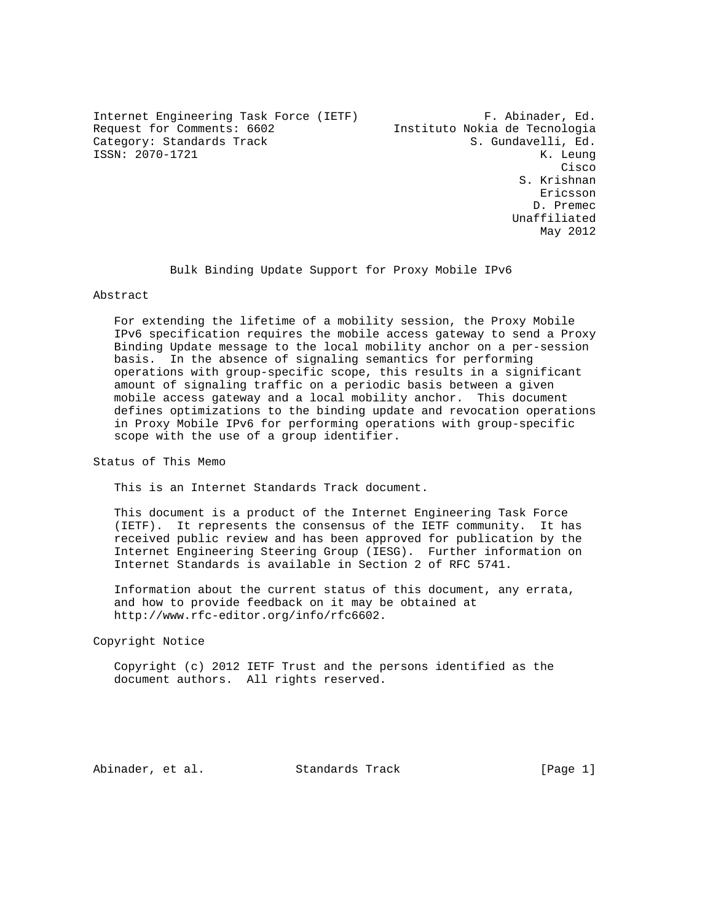Internet Engineering Task Force (IETF) F. Abinader, Ed. Request for Comments: 6602 Instituto Nokia de Tecnologia Category: Standards Track S. Gundavelli, Ed. ISSN: 2070-1721 K. Leung

**Cisco de la contrata de la contrata de la contrata de la contrata de la contrata de la contrata de la contrat**  S. Krishnan eric and the contract of the contract of the contract of the contract of the contract of the contract of the contract of the contract of the contract of the contract of the contract of the contract of the contract of the c D. Premec Unaffiliated May 2012

Bulk Binding Update Support for Proxy Mobile IPv6

## Abstract

 For extending the lifetime of a mobility session, the Proxy Mobile IPv6 specification requires the mobile access gateway to send a Proxy Binding Update message to the local mobility anchor on a per-session basis. In the absence of signaling semantics for performing operations with group-specific scope, this results in a significant amount of signaling traffic on a periodic basis between a given mobile access gateway and a local mobility anchor. This document defines optimizations to the binding update and revocation operations in Proxy Mobile IPv6 for performing operations with group-specific scope with the use of a group identifier.

Status of This Memo

This is an Internet Standards Track document.

 This document is a product of the Internet Engineering Task Force (IETF). It represents the consensus of the IETF community. It has received public review and has been approved for publication by the Internet Engineering Steering Group (IESG). Further information on Internet Standards is available in Section 2 of RFC 5741.

 Information about the current status of this document, any errata, and how to provide feedback on it may be obtained at http://www.rfc-editor.org/info/rfc6602.

Copyright Notice

 Copyright (c) 2012 IETF Trust and the persons identified as the document authors. All rights reserved.

Abinader, et al. Standards Track [Page 1]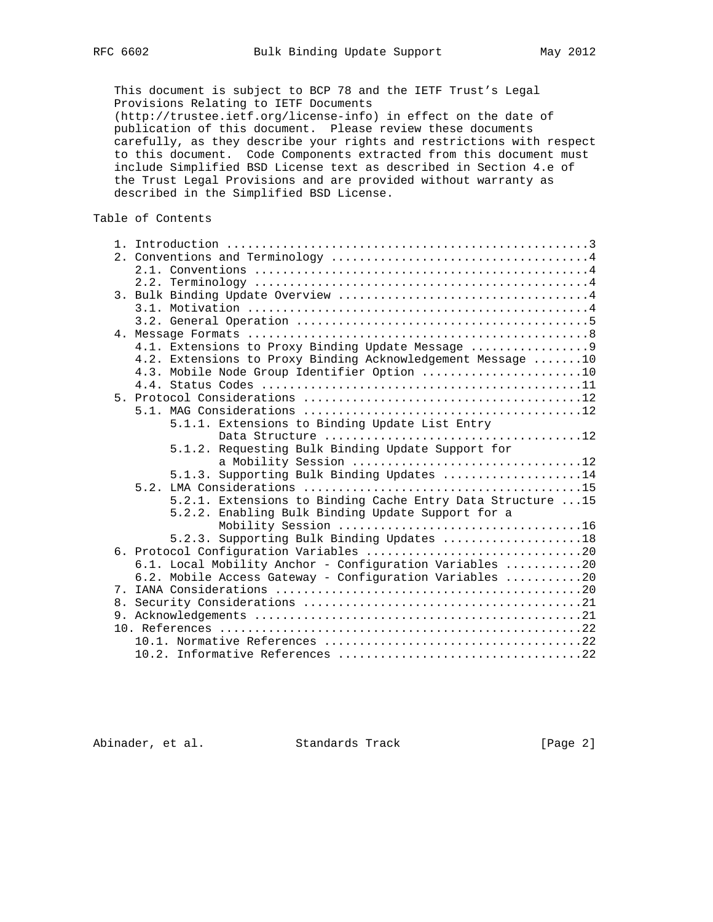This document is subject to BCP 78 and the IETF Trust's Legal Provisions Relating to IETF Documents (http://trustee.ietf.org/license-info) in effect on the date of publication of this document. Please review these documents carefully, as they describe your rights and restrictions with respect to this document. Code Components extracted from this document must include Simplified BSD License text as described in Section 4.e of the Trust Legal Provisions and are provided without warranty as described in the Simplified BSD License.

# Table of Contents

|                | 4.1. Extensions to Proxy Binding Update Message             |
|----------------|-------------------------------------------------------------|
|                | 4.2. Extensions to Proxy Binding Acknowledgement Message 10 |
|                | 4.3. Mobile Node Group Identifier Option 10                 |
|                |                                                             |
|                |                                                             |
|                |                                                             |
|                | 5.1.1. Extensions to Binding Update List Entry              |
|                |                                                             |
|                | 5.1.2. Requesting Bulk Binding Update Support for           |
|                | a Mobility Session 12                                       |
|                | 5.1.3. Supporting Bulk Binding Updates 14                   |
|                |                                                             |
|                | 5.2.1. Extensions to Binding Cache Entry Data Structure 15  |
|                | 5.2.2. Enabling Bulk Binding Update Support for a           |
|                |                                                             |
|                | 5.2.3. Supporting Bulk Binding Updates 18                   |
|                |                                                             |
|                | 6.1. Local Mobility Anchor - Configuration Variables 20     |
|                | 6.2. Mobile Access Gateway - Configuration Variables 20     |
|                |                                                             |
| 8 <sub>1</sub> |                                                             |
|                |                                                             |
|                |                                                             |
|                |                                                             |
|                |                                                             |
|                |                                                             |

Abinader, et al. Standards Track [Page 2]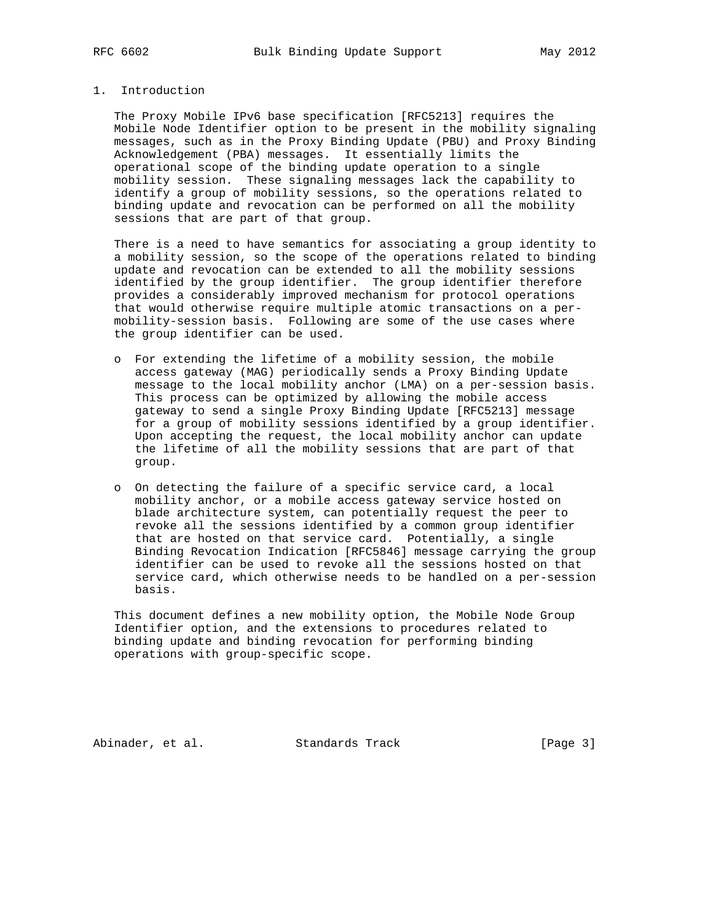# 1. Introduction

 The Proxy Mobile IPv6 base specification [RFC5213] requires the Mobile Node Identifier option to be present in the mobility signaling messages, such as in the Proxy Binding Update (PBU) and Proxy Binding Acknowledgement (PBA) messages. It essentially limits the operational scope of the binding update operation to a single mobility session. These signaling messages lack the capability to identify a group of mobility sessions, so the operations related to binding update and revocation can be performed on all the mobility sessions that are part of that group.

 There is a need to have semantics for associating a group identity to a mobility session, so the scope of the operations related to binding update and revocation can be extended to all the mobility sessions identified by the group identifier. The group identifier therefore provides a considerably improved mechanism for protocol operations that would otherwise require multiple atomic transactions on a per mobility-session basis. Following are some of the use cases where the group identifier can be used.

- o For extending the lifetime of a mobility session, the mobile access gateway (MAG) periodically sends a Proxy Binding Update message to the local mobility anchor (LMA) on a per-session basis. This process can be optimized by allowing the mobile access gateway to send a single Proxy Binding Update [RFC5213] message for a group of mobility sessions identified by a group identifier. Upon accepting the request, the local mobility anchor can update the lifetime of all the mobility sessions that are part of that group.
- o On detecting the failure of a specific service card, a local mobility anchor, or a mobile access gateway service hosted on blade architecture system, can potentially request the peer to revoke all the sessions identified by a common group identifier that are hosted on that service card. Potentially, a single Binding Revocation Indication [RFC5846] message carrying the group identifier can be used to revoke all the sessions hosted on that service card, which otherwise needs to be handled on a per-session basis.

 This document defines a new mobility option, the Mobile Node Group Identifier option, and the extensions to procedures related to binding update and binding revocation for performing binding operations with group-specific scope.

Abinader, et al. Standards Track [Page 3]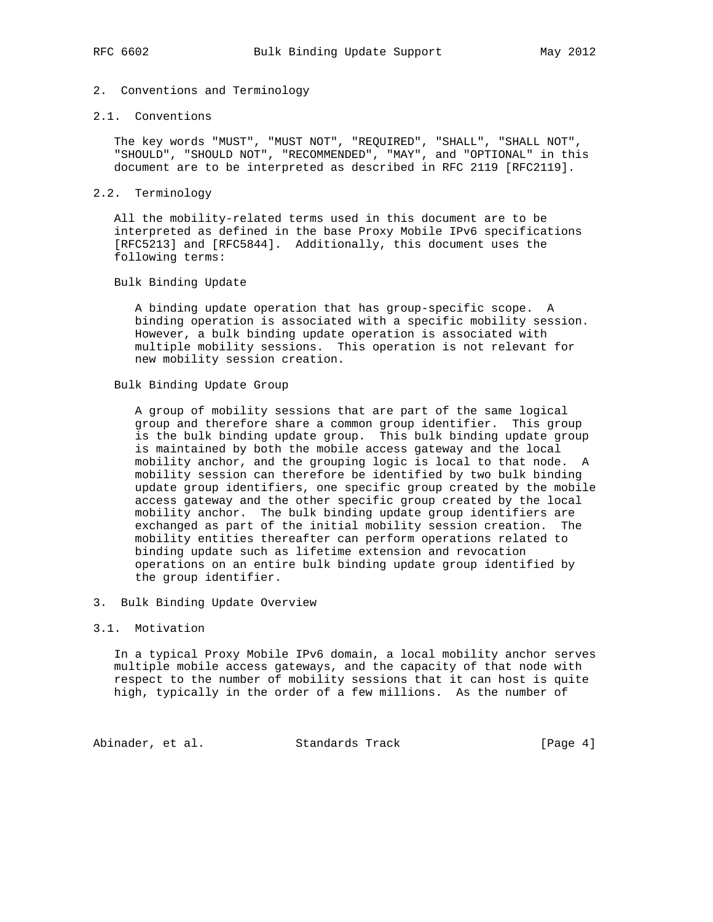# 2. Conventions and Terminology

## 2.1. Conventions

 The key words "MUST", "MUST NOT", "REQUIRED", "SHALL", "SHALL NOT", "SHOULD", "SHOULD NOT", "RECOMMENDED", "MAY", and "OPTIONAL" in this document are to be interpreted as described in RFC 2119 [RFC2119].

## 2.2. Terminology

 All the mobility-related terms used in this document are to be interpreted as defined in the base Proxy Mobile IPv6 specifications [RFC5213] and [RFC5844]. Additionally, this document uses the following terms:

## Bulk Binding Update

 A binding update operation that has group-specific scope. A binding operation is associated with a specific mobility session. However, a bulk binding update operation is associated with multiple mobility sessions. This operation is not relevant for new mobility session creation.

## Bulk Binding Update Group

 A group of mobility sessions that are part of the same logical group and therefore share a common group identifier. This group is the bulk binding update group. This bulk binding update group is maintained by both the mobile access gateway and the local mobility anchor, and the grouping logic is local to that node. A mobility session can therefore be identified by two bulk binding update group identifiers, one specific group created by the mobile access gateway and the other specific group created by the local mobility anchor. The bulk binding update group identifiers are exchanged as part of the initial mobility session creation. The mobility entities thereafter can perform operations related to binding update such as lifetime extension and revocation operations on an entire bulk binding update group identified by the group identifier.

3. Bulk Binding Update Overview

## 3.1. Motivation

 In a typical Proxy Mobile IPv6 domain, a local mobility anchor serves multiple mobile access gateways, and the capacity of that node with respect to the number of mobility sessions that it can host is quite high, typically in the order of a few millions. As the number of

Abinader, et al. Standards Track [Page 4]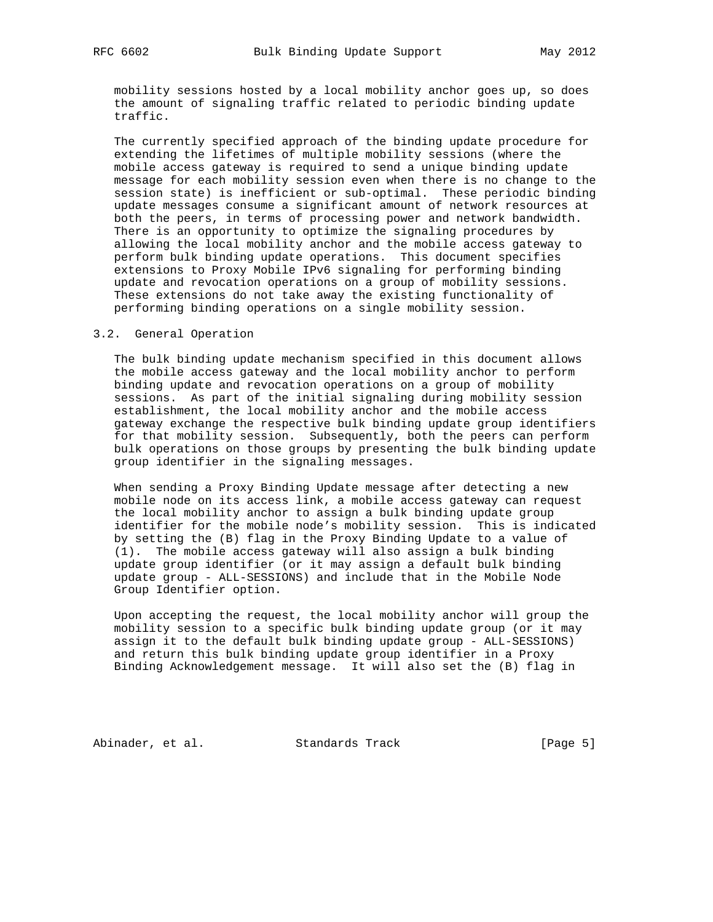mobility sessions hosted by a local mobility anchor goes up, so does the amount of signaling traffic related to periodic binding update traffic.

 The currently specified approach of the binding update procedure for extending the lifetimes of multiple mobility sessions (where the mobile access gateway is required to send a unique binding update message for each mobility session even when there is no change to the session state) is inefficient or sub-optimal. These periodic binding update messages consume a significant amount of network resources at both the peers, in terms of processing power and network bandwidth. There is an opportunity to optimize the signaling procedures by allowing the local mobility anchor and the mobile access gateway to perform bulk binding update operations. This document specifies extensions to Proxy Mobile IPv6 signaling for performing binding update and revocation operations on a group of mobility sessions. These extensions do not take away the existing functionality of performing binding operations on a single mobility session.

### 3.2. General Operation

 The bulk binding update mechanism specified in this document allows the mobile access gateway and the local mobility anchor to perform binding update and revocation operations on a group of mobility sessions. As part of the initial signaling during mobility session establishment, the local mobility anchor and the mobile access gateway exchange the respective bulk binding update group identifiers for that mobility session. Subsequently, both the peers can perform bulk operations on those groups by presenting the bulk binding update group identifier in the signaling messages.

 When sending a Proxy Binding Update message after detecting a new mobile node on its access link, a mobile access gateway can request the local mobility anchor to assign a bulk binding update group identifier for the mobile node's mobility session. This is indicated by setting the (B) flag in the Proxy Binding Update to a value of (1). The mobile access gateway will also assign a bulk binding update group identifier (or it may assign a default bulk binding update group - ALL-SESSIONS) and include that in the Mobile Node Group Identifier option.

 Upon accepting the request, the local mobility anchor will group the mobility session to a specific bulk binding update group (or it may assign it to the default bulk binding update group - ALL-SESSIONS) and return this bulk binding update group identifier in a Proxy Binding Acknowledgement message. It will also set the (B) flag in

Abinader, et al. Standards Track [Page 5]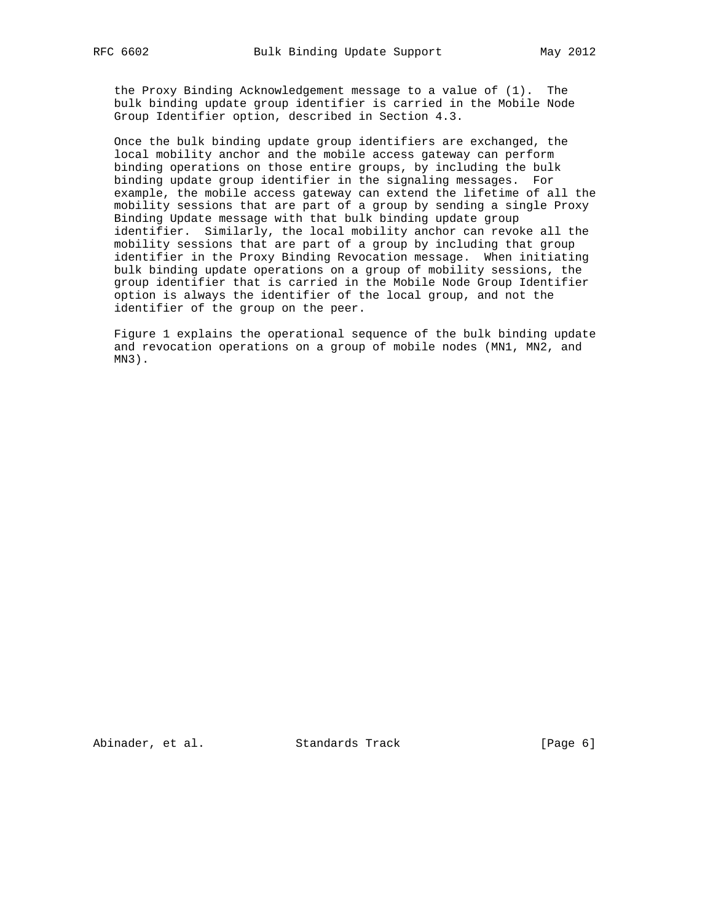the Proxy Binding Acknowledgement message to a value of (1). The bulk binding update group identifier is carried in the Mobile Node Group Identifier option, described in Section 4.3.

 Once the bulk binding update group identifiers are exchanged, the local mobility anchor and the mobile access gateway can perform binding operations on those entire groups, by including the bulk binding update group identifier in the signaling messages. For example, the mobile access gateway can extend the lifetime of all the mobility sessions that are part of a group by sending a single Proxy Binding Update message with that bulk binding update group identifier. Similarly, the local mobility anchor can revoke all the mobility sessions that are part of a group by including that group identifier in the Proxy Binding Revocation message. When initiating bulk binding update operations on a group of mobility sessions, the group identifier that is carried in the Mobile Node Group Identifier option is always the identifier of the local group, and not the identifier of the group on the peer.

 Figure 1 explains the operational sequence of the bulk binding update and revocation operations on a group of mobile nodes (MN1, MN2, and MN3).

Abinader, et al. Standards Track [Page 6]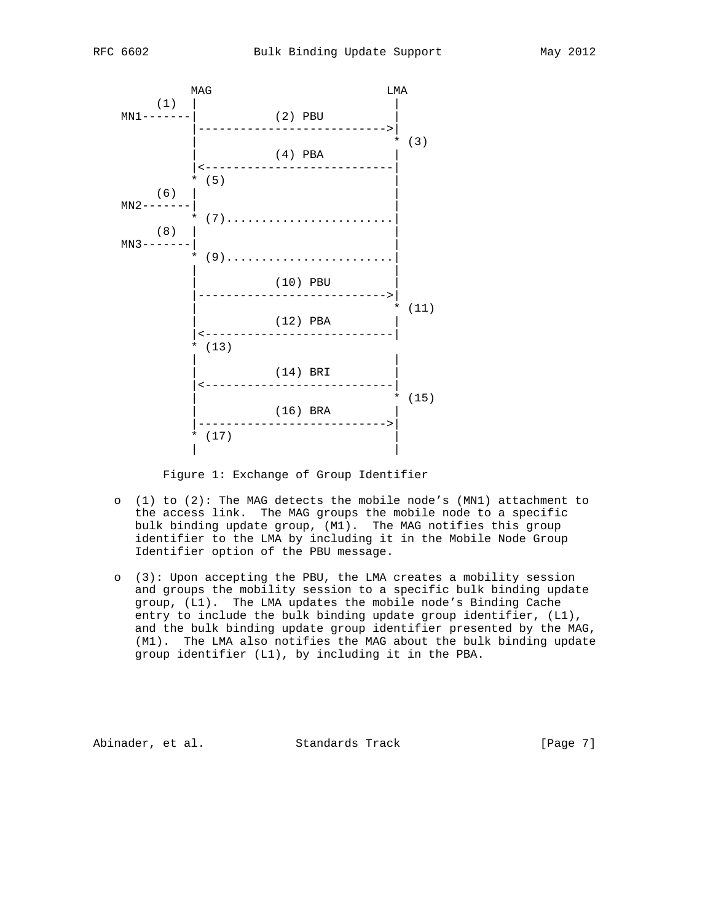

Figure 1: Exchange of Group Identifier

- o (1) to (2): The MAG detects the mobile node's (MN1) attachment to the access link. The MAG groups the mobile node to a specific bulk binding update group, (M1). The MAG notifies this group identifier to the LMA by including it in the Mobile Node Group Identifier option of the PBU message.
- o (3): Upon accepting the PBU, the LMA creates a mobility session and groups the mobility session to a specific bulk binding update group, (L1). The LMA updates the mobile node's Binding Cache entry to include the bulk binding update group identifier, (L1), and the bulk binding update group identifier presented by the MAG, (M1). The LMA also notifies the MAG about the bulk binding update group identifier (L1), by including it in the PBA.

Abinader, et al. Standards Track [Page 7]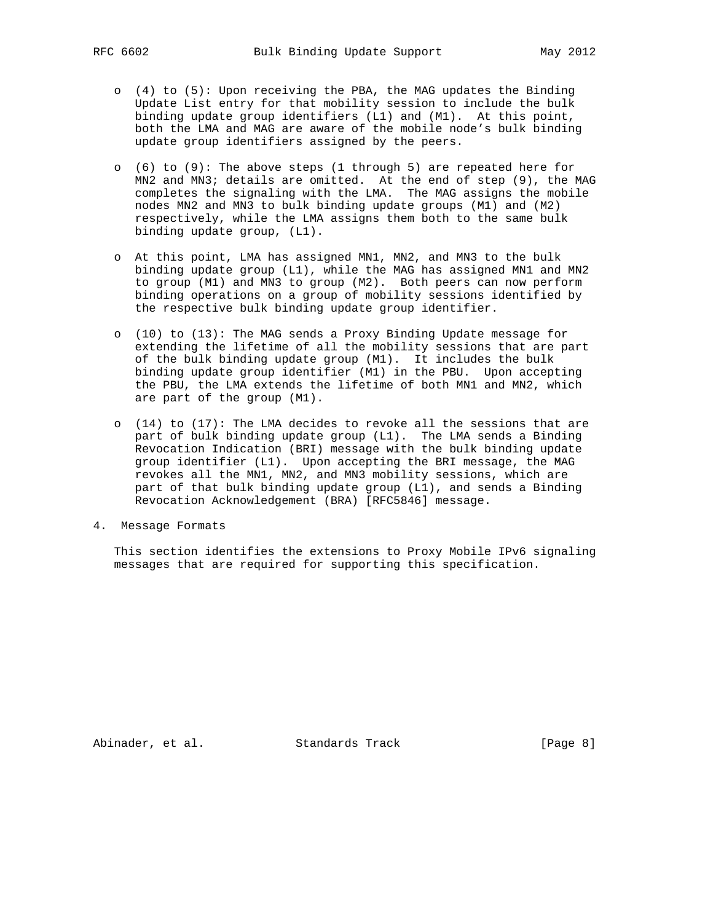- o (4) to (5): Upon receiving the PBA, the MAG updates the Binding Update List entry for that mobility session to include the bulk binding update group identifiers (L1) and (M1). At this point, both the LMA and MAG are aware of the mobile node's bulk binding update group identifiers assigned by the peers.
- o (6) to (9): The above steps (1 through 5) are repeated here for MN2 and MN3; details are omitted. At the end of step (9), the MAG completes the signaling with the LMA. The MAG assigns the mobile nodes MN2 and MN3 to bulk binding update groups (M1) and (M2) respectively, while the LMA assigns them both to the same bulk binding update group, (L1).
- o At this point, LMA has assigned MN1, MN2, and MN3 to the bulk binding update group (L1), while the MAG has assigned MN1 and MN2 to group (M1) and MN3 to group (M2). Both peers can now perform binding operations on a group of mobility sessions identified by the respective bulk binding update group identifier.
- o (10) to (13): The MAG sends a Proxy Binding Update message for extending the lifetime of all the mobility sessions that are part of the bulk binding update group (M1). It includes the bulk binding update group identifier (M1) in the PBU. Upon accepting the PBU, the LMA extends the lifetime of both MN1 and MN2, which are part of the group (M1).
- o (14) to (17): The LMA decides to revoke all the sessions that are part of bulk binding update group (L1). The LMA sends a Binding Revocation Indication (BRI) message with the bulk binding update group identifier (L1). Upon accepting the BRI message, the MAG revokes all the MN1, MN2, and MN3 mobility sessions, which are part of that bulk binding update group (L1), and sends a Binding Revocation Acknowledgement (BRA) [RFC5846] message.
- 4. Message Formats

 This section identifies the extensions to Proxy Mobile IPv6 signaling messages that are required for supporting this specification.

Abinader, et al. Standards Track [Page 8]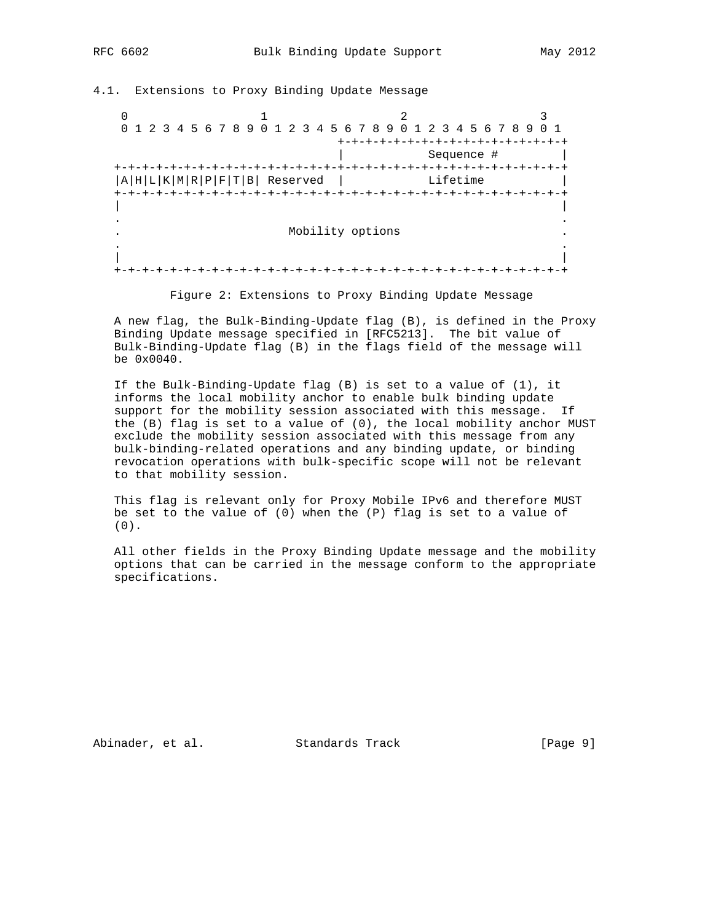4.1. Extensions to Proxy Binding Update Message

0  $1$  2 3 0 1 2 3 4 5 6 7 8 9 0 1 2 3 4 5 6 7 8 9 0 1 2 3 4 5 6 7 8 9 0 1 +-+-+-+-+-+-+-+-+-+-+-+-+-+-+-+-+ | Sequence # | +-+-+-+-+-+-+-+-+-+-+-+-+-+-+-+-+-+-+-+-+-+-+-+-+-+-+-+-+-+-+-+-+  $|A|H|L|K|M|R|P|F|T|B|$  Reserved  $|$  Lifetime +-+-+-+-+-+-+-+-+-+-+-+-+-+-+-+-+-+-+-+-+-+-+-+-+-+-+-+-+-+-+-+-+ | | . . . Mobility options . . . | | +-+-+-+-+-+-+-+-+-+-+-+-+-+-+-+-+-+-+-+-+-+-+-+-+-+-+-+-+-+-+-+-+

Figure 2: Extensions to Proxy Binding Update Message

 A new flag, the Bulk-Binding-Update flag (B), is defined in the Proxy Binding Update message specified in [RFC5213]. The bit value of Bulk-Binding-Update flag (B) in the flags field of the message will be 0x0040.

 If the Bulk-Binding-Update flag (B) is set to a value of (1), it informs the local mobility anchor to enable bulk binding update support for the mobility session associated with this message. If the (B) flag is set to a value of (0), the local mobility anchor MUST exclude the mobility session associated with this message from any bulk-binding-related operations and any binding update, or binding revocation operations with bulk-specific scope will not be relevant to that mobility session.

 This flag is relevant only for Proxy Mobile IPv6 and therefore MUST be set to the value of (0) when the (P) flag is set to a value of (0).

 All other fields in the Proxy Binding Update message and the mobility options that can be carried in the message conform to the appropriate specifications.

Abinader, et al. Standards Track [Page 9]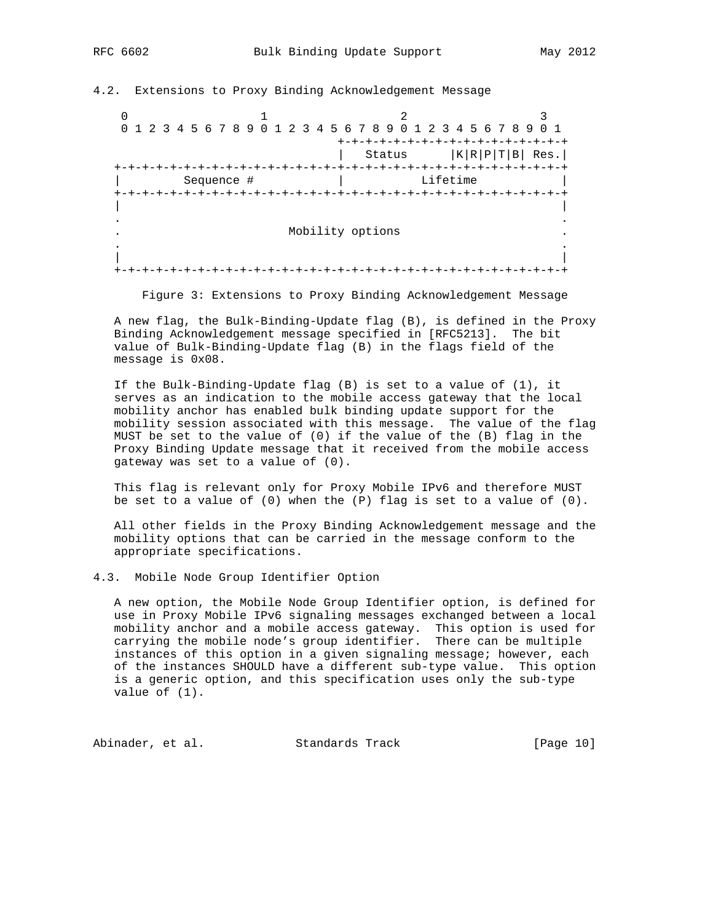4.2. Extensions to Proxy Binding Acknowledgement Message

0  $1$  2 3 0 1 2 3 4 5 6 7 8 9 0 1 2 3 4 5 6 7 8 9 0 1 2 3 4 5 6 7 8 9 0 1 +-+-+-+-+-+-+-+-+-+-+-+-+-+-+-+-+ | Status  $|K|R|P|T|B|$  Res. +-+-+-+-+-+-+-+-+-+-+-+-+-+-+-+-+-+-+-+-+-+-+-+-+-+-+-+-+-+-+-+-+ | Sequence # | Lifetime | +-+-+-+-+-+-+-+-+-+-+-+-+-+-+-+-+-+-+-+-+-+-+-+-+-+-+-+-+-+-+-+-+ | | . . . Mobility options . . . | | +-+-+-+-+-+-+-+-+-+-+-+-+-+-+-+-+-+-+-+-+-+-+-+-+-+-+-+-+-+-+-+-+

Figure 3: Extensions to Proxy Binding Acknowledgement Message

 A new flag, the Bulk-Binding-Update flag (B), is defined in the Proxy Binding Acknowledgement message specified in [RFC5213]. The bit value of Bulk-Binding-Update flag (B) in the flags field of the message is 0x08.

 If the Bulk-Binding-Update flag (B) is set to a value of (1), it serves as an indication to the mobile access gateway that the local mobility anchor has enabled bulk binding update support for the mobility session associated with this message. The value of the flag MUST be set to the value of (0) if the value of the (B) flag in the Proxy Binding Update message that it received from the mobile access gateway was set to a value of (0).

 This flag is relevant only for Proxy Mobile IPv6 and therefore MUST be set to a value of  $(0)$  when the  $(P)$  flag is set to a value of  $(0)$ .

 All other fields in the Proxy Binding Acknowledgement message and the mobility options that can be carried in the message conform to the appropriate specifications.

4.3. Mobile Node Group Identifier Option

 A new option, the Mobile Node Group Identifier option, is defined for use in Proxy Mobile IPv6 signaling messages exchanged between a local mobility anchor and a mobile access gateway. This option is used for carrying the mobile node's group identifier. There can be multiple instances of this option in a given signaling message; however, each of the instances SHOULD have a different sub-type value. This option is a generic option, and this specification uses only the sub-type value of (1).

Abinader, et al. Standards Track [Page 10]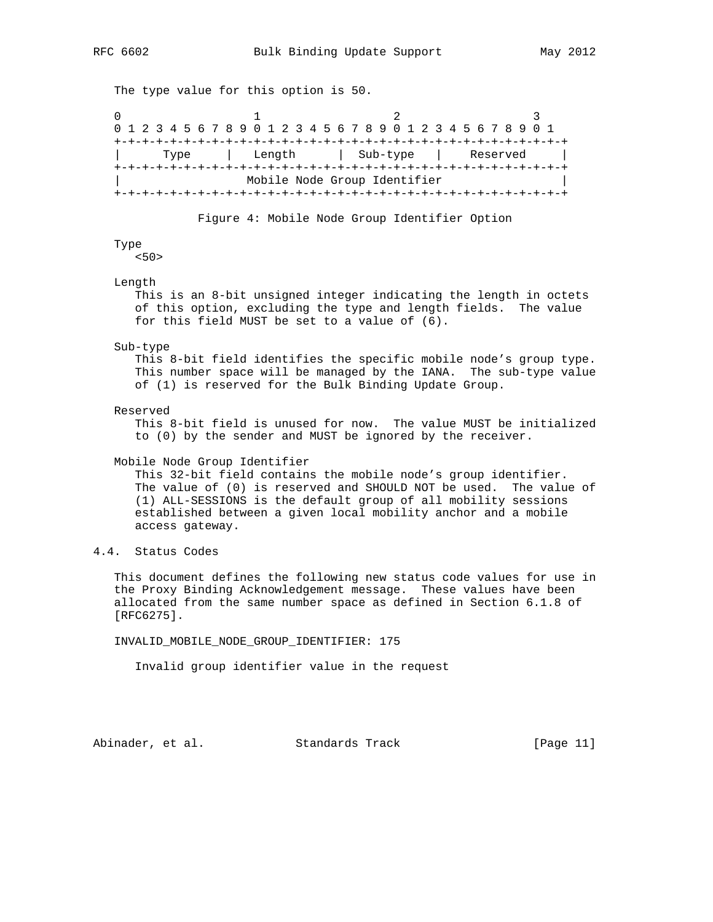The type value for this option is 50. 0  $1$  2 3 0 1 2 3 4 5 6 7 8 9 0 1 2 3 4 5 6 7 8 9 0 1 2 3 4 5 6 7 8 9 0 1 +-+-+-+-+-+-+-+-+-+-+-+-+-+-+-+-+-+-+-+-+-+-+-+-+-+-+-+-+-+-+-+-+ | Type | Length | Sub-type | Reserved | +-+-+-+-+-+-+-+-+-+-+-+-+-+-+-+-+-+-+-+-+-+-+-+-+-+-+-+-+-+-+-+-+ Mobile Node Group Identifier +-+-+-+-+-+-+-+-+-+-+-+-+-+-+-+-+-+-+-+-+-+-+-+-+-+-+-+-+-+-+-+-+ Figure 4: Mobile Node Group Identifier Option Type <50> Length This is an 8-bit unsigned integer indicating the length in octets of this option, excluding the type and length fields. The value for this field MUST be set to a value of (6).

### Sub-type

 This 8-bit field identifies the specific mobile node's group type. This number space will be managed by the IANA. The sub-type value of (1) is reserved for the Bulk Binding Update Group.

### Reserved

 This 8-bit field is unused for now. The value MUST be initialized to (0) by the sender and MUST be ignored by the receiver.

## Mobile Node Group Identifier

 This 32-bit field contains the mobile node's group identifier. The value of (0) is reserved and SHOULD NOT be used. The value of (1) ALL-SESSIONS is the default group of all mobility sessions established between a given local mobility anchor and a mobile access gateway.

# 4.4. Status Codes

 This document defines the following new status code values for use in the Proxy Binding Acknowledgement message. These values have been allocated from the same number space as defined in Section 6.1.8 of [RFC6275].

INVALID\_MOBILE\_NODE\_GROUP\_IDENTIFIER: 175

Invalid group identifier value in the request

Abinader, et al. Standards Track [Page 11]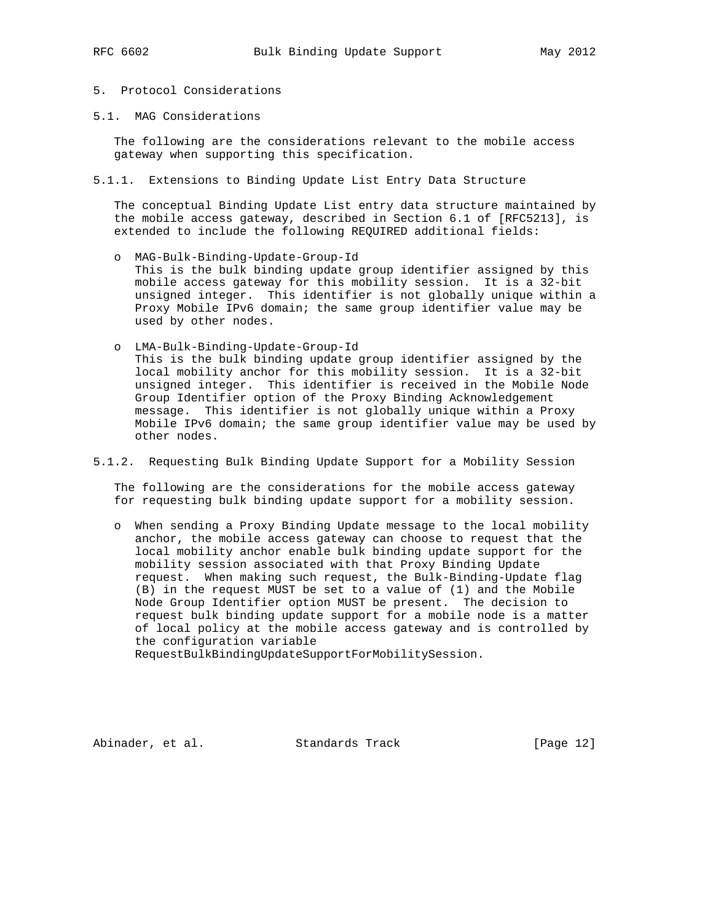# 5. Protocol Considerations

5.1. MAG Considerations

 The following are the considerations relevant to the mobile access gateway when supporting this specification.

5.1.1. Extensions to Binding Update List Entry Data Structure

 The conceptual Binding Update List entry data structure maintained by the mobile access gateway, described in Section 6.1 of [RFC5213], is extended to include the following REQUIRED additional fields:

- o MAG-Bulk-Binding-Update-Group-Id This is the bulk binding update group identifier assigned by this mobile access gateway for this mobility session. It is a 32-bit unsigned integer. This identifier is not globally unique within a Proxy Mobile IPv6 domain; the same group identifier value may be used by other nodes.
- o LMA-Bulk-Binding-Update-Group-Id This is the bulk binding update group identifier assigned by the local mobility anchor for this mobility session. It is a 32-bit unsigned integer. This identifier is received in the Mobile Node Group Identifier option of the Proxy Binding Acknowledgement message. This identifier is not globally unique within a Proxy Mobile IPv6 domain; the same group identifier value may be used by other nodes.
- 5.1.2. Requesting Bulk Binding Update Support for a Mobility Session

 The following are the considerations for the mobile access gateway for requesting bulk binding update support for a mobility session.

 o When sending a Proxy Binding Update message to the local mobility anchor, the mobile access gateway can choose to request that the local mobility anchor enable bulk binding update support for the mobility session associated with that Proxy Binding Update request. When making such request, the Bulk-Binding-Update flag (B) in the request MUST be set to a value of (1) and the Mobile Node Group Identifier option MUST be present. The decision to request bulk binding update support for a mobile node is a matter of local policy at the mobile access gateway and is controlled by the configuration variable

RequestBulkBindingUpdateSupportForMobilitySession.

Abinader, et al. Standards Track [Page 12]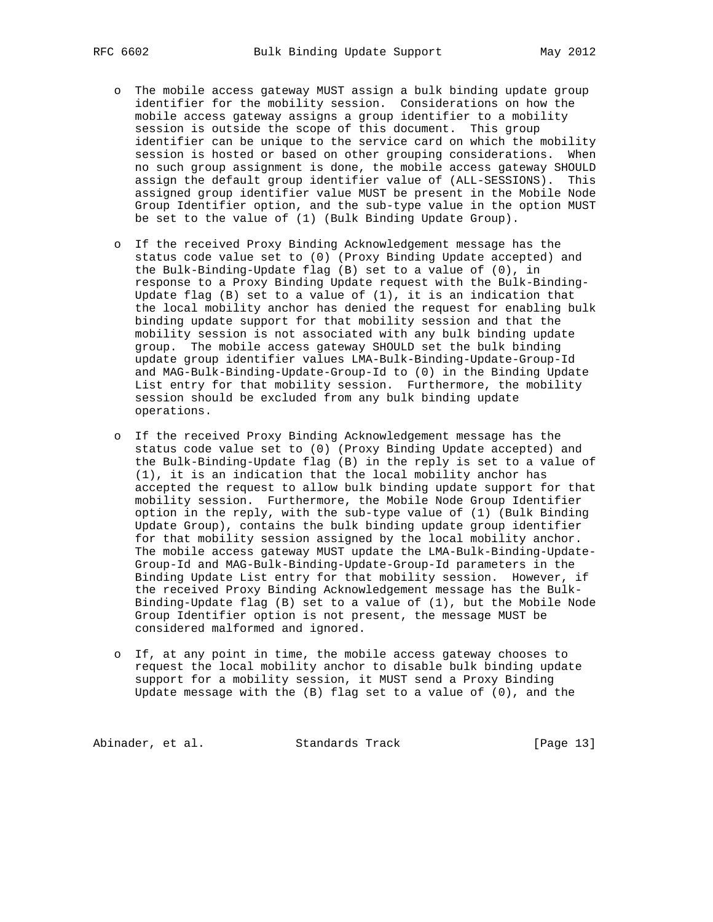- o The mobile access gateway MUST assign a bulk binding update group identifier for the mobility session. Considerations on how the mobile access gateway assigns a group identifier to a mobility session is outside the scope of this document. This group identifier can be unique to the service card on which the mobility session is hosted or based on other grouping considerations. When no such group assignment is done, the mobile access gateway SHOULD assign the default group identifier value of (ALL-SESSIONS). This assigned group identifier value MUST be present in the Mobile Node Group Identifier option, and the sub-type value in the option MUST be set to the value of (1) (Bulk Binding Update Group).
- o If the received Proxy Binding Acknowledgement message has the status code value set to (0) (Proxy Binding Update accepted) and the Bulk-Binding-Update flag (B) set to a value of (0), in response to a Proxy Binding Update request with the Bulk-Binding- Update flag (B) set to a value of (1), it is an indication that the local mobility anchor has denied the request for enabling bulk binding update support for that mobility session and that the mobility session is not associated with any bulk binding update group. The mobile access gateway SHOULD set the bulk binding update group identifier values LMA-Bulk-Binding-Update-Group-Id and MAG-Bulk-Binding-Update-Group-Id to (0) in the Binding Update List entry for that mobility session. Furthermore, the mobility session should be excluded from any bulk binding update operations.
- o If the received Proxy Binding Acknowledgement message has the status code value set to (0) (Proxy Binding Update accepted) and the Bulk-Binding-Update flag (B) in the reply is set to a value of (1), it is an indication that the local mobility anchor has accepted the request to allow bulk binding update support for that mobility session. Furthermore, the Mobile Node Group Identifier option in the reply, with the sub-type value of (1) (Bulk Binding Update Group), contains the bulk binding update group identifier for that mobility session assigned by the local mobility anchor. The mobile access gateway MUST update the LMA-Bulk-Binding-Update- Group-Id and MAG-Bulk-Binding-Update-Group-Id parameters in the Binding Update List entry for that mobility session. However, if the received Proxy Binding Acknowledgement message has the Bulk- Binding-Update flag (B) set to a value of (1), but the Mobile Node Group Identifier option is not present, the message MUST be considered malformed and ignored.
- o If, at any point in time, the mobile access gateway chooses to request the local mobility anchor to disable bulk binding update support for a mobility session, it MUST send a Proxy Binding Update message with the  $(B)$  flag set to a value of  $(0)$ , and the

Abinader, et al. Standards Track [Page 13]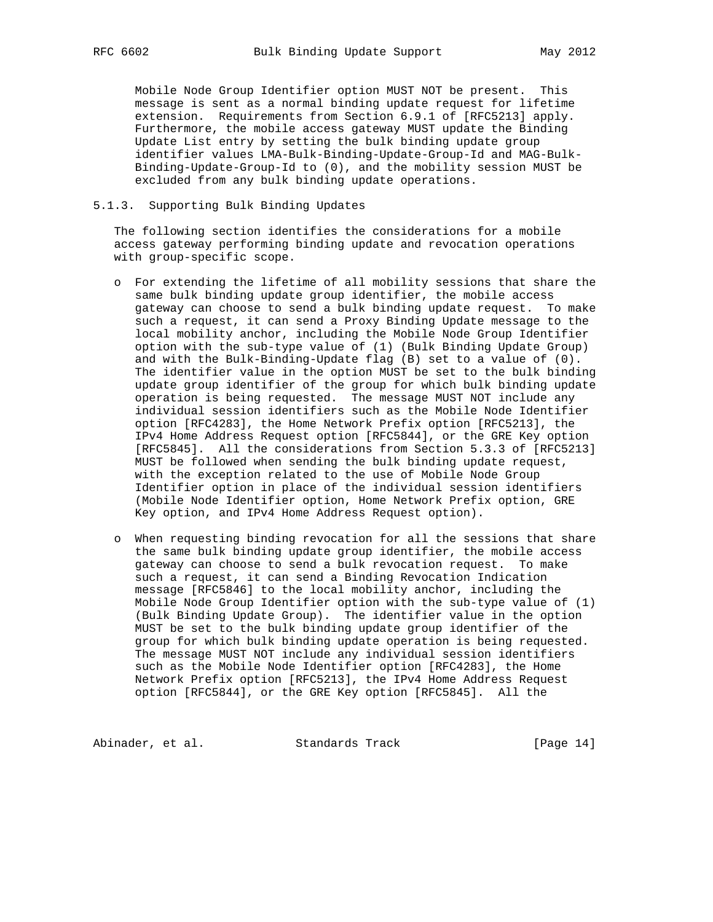Mobile Node Group Identifier option MUST NOT be present. This message is sent as a normal binding update request for lifetime extension. Requirements from Section 6.9.1 of [RFC5213] apply. Furthermore, the mobile access gateway MUST update the Binding Update List entry by setting the bulk binding update group identifier values LMA-Bulk-Binding-Update-Group-Id and MAG-Bulk- Binding-Update-Group-Id to (0), and the mobility session MUST be excluded from any bulk binding update operations.

## 5.1.3. Supporting Bulk Binding Updates

 The following section identifies the considerations for a mobile access gateway performing binding update and revocation operations with group-specific scope.

- o For extending the lifetime of all mobility sessions that share the same bulk binding update group identifier, the mobile access gateway can choose to send a bulk binding update request. To make such a request, it can send a Proxy Binding Update message to the local mobility anchor, including the Mobile Node Group Identifier option with the sub-type value of (1) (Bulk Binding Update Group) and with the Bulk-Binding-Update flag (B) set to a value of (0). The identifier value in the option MUST be set to the bulk binding update group identifier of the group for which bulk binding update operation is being requested. The message MUST NOT include any individual session identifiers such as the Mobile Node Identifier option [RFC4283], the Home Network Prefix option [RFC5213], the IPv4 Home Address Request option [RFC5844], or the GRE Key option [RFC5845]. All the considerations from Section 5.3.3 of [RFC5213] MUST be followed when sending the bulk binding update request, with the exception related to the use of Mobile Node Group Identifier option in place of the individual session identifiers (Mobile Node Identifier option, Home Network Prefix option, GRE Key option, and IPv4 Home Address Request option).
- o When requesting binding revocation for all the sessions that share the same bulk binding update group identifier, the mobile access gateway can choose to send a bulk revocation request. To make such a request, it can send a Binding Revocation Indication message [RFC5846] to the local mobility anchor, including the Mobile Node Group Identifier option with the sub-type value of (1) (Bulk Binding Update Group). The identifier value in the option MUST be set to the bulk binding update group identifier of the group for which bulk binding update operation is being requested. The message MUST NOT include any individual session identifiers such as the Mobile Node Identifier option [RFC4283], the Home Network Prefix option [RFC5213], the IPv4 Home Address Request option [RFC5844], or the GRE Key option [RFC5845]. All the

Abinader, et al. Standards Track [Page 14]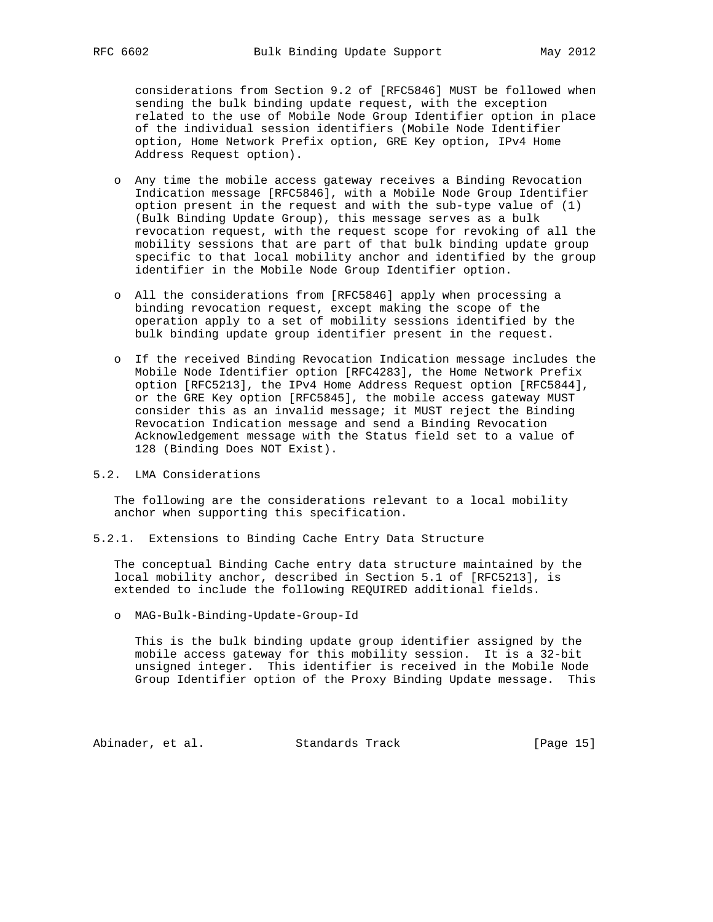considerations from Section 9.2 of [RFC5846] MUST be followed when sending the bulk binding update request, with the exception related to the use of Mobile Node Group Identifier option in place of the individual session identifiers (Mobile Node Identifier option, Home Network Prefix option, GRE Key option, IPv4 Home Address Request option).

- o Any time the mobile access gateway receives a Binding Revocation Indication message [RFC5846], with a Mobile Node Group Identifier option present in the request and with the sub-type value of (1) (Bulk Binding Update Group), this message serves as a bulk revocation request, with the request scope for revoking of all the mobility sessions that are part of that bulk binding update group specific to that local mobility anchor and identified by the group identifier in the Mobile Node Group Identifier option.
- o All the considerations from [RFC5846] apply when processing a binding revocation request, except making the scope of the operation apply to a set of mobility sessions identified by the bulk binding update group identifier present in the request.
- o If the received Binding Revocation Indication message includes the Mobile Node Identifier option [RFC4283], the Home Network Prefix option [RFC5213], the IPv4 Home Address Request option [RFC5844], or the GRE Key option [RFC5845], the mobile access gateway MUST consider this as an invalid message; it MUST reject the Binding Revocation Indication message and send a Binding Revocation Acknowledgement message with the Status field set to a value of 128 (Binding Does NOT Exist).
- 5.2. LMA Considerations

 The following are the considerations relevant to a local mobility anchor when supporting this specification.

5.2.1. Extensions to Binding Cache Entry Data Structure

 The conceptual Binding Cache entry data structure maintained by the local mobility anchor, described in Section 5.1 of [RFC5213], is extended to include the following REQUIRED additional fields.

o MAG-Bulk-Binding-Update-Group-Id

 This is the bulk binding update group identifier assigned by the mobile access gateway for this mobility session. It is a 32-bit unsigned integer. This identifier is received in the Mobile Node Group Identifier option of the Proxy Binding Update message. This

Abinader, et al. Standards Track [Page 15]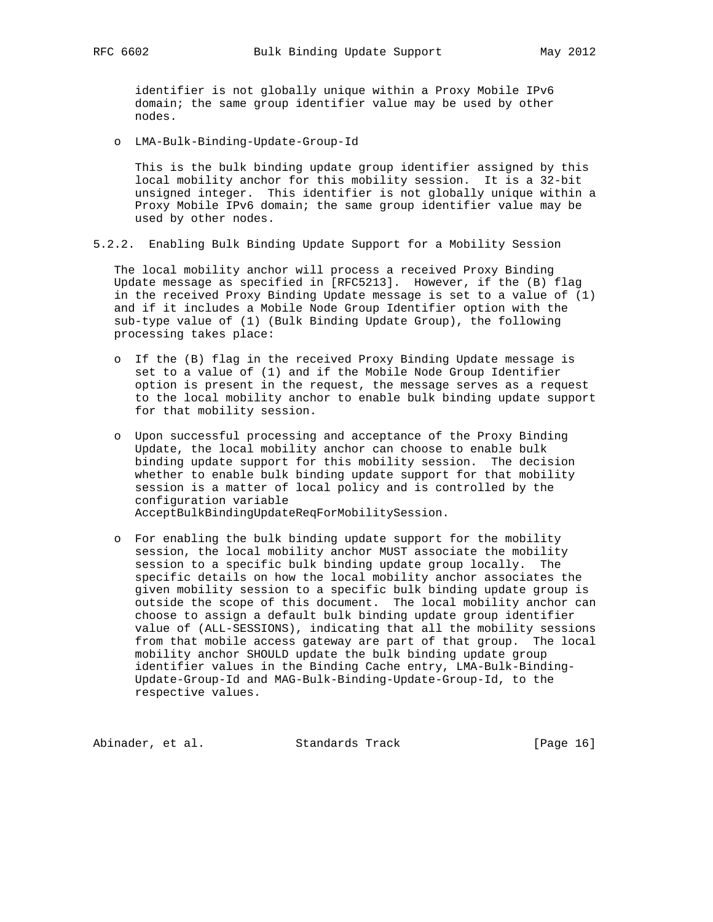identifier is not globally unique within a Proxy Mobile IPv6 domain; the same group identifier value may be used by other nodes.

o LMA-Bulk-Binding-Update-Group-Id

 This is the bulk binding update group identifier assigned by this local mobility anchor for this mobility session. It is a 32-bit unsigned integer. This identifier is not globally unique within a Proxy Mobile IPv6 domain; the same group identifier value may be used by other nodes.

5.2.2. Enabling Bulk Binding Update Support for a Mobility Session

 The local mobility anchor will process a received Proxy Binding Update message as specified in [RFC5213]. However, if the (B) flag in the received Proxy Binding Update message is set to a value of (1) and if it includes a Mobile Node Group Identifier option with the sub-type value of (1) (Bulk Binding Update Group), the following processing takes place:

- o If the (B) flag in the received Proxy Binding Update message is set to a value of (1) and if the Mobile Node Group Identifier option is present in the request, the message serves as a request to the local mobility anchor to enable bulk binding update support for that mobility session.
- o Upon successful processing and acceptance of the Proxy Binding Update, the local mobility anchor can choose to enable bulk binding update support for this mobility session. The decision whether to enable bulk binding update support for that mobility session is a matter of local policy and is controlled by the configuration variable AcceptBulkBindingUpdateReqForMobilitySession.
- o For enabling the bulk binding update support for the mobility session, the local mobility anchor MUST associate the mobility session to a specific bulk binding update group locally. The specific details on how the local mobility anchor associates the given mobility session to a specific bulk binding update group is outside the scope of this document. The local mobility anchor can choose to assign a default bulk binding update group identifier value of (ALL-SESSIONS), indicating that all the mobility sessions from that mobile access gateway are part of that group. The local mobility anchor SHOULD update the bulk binding update group identifier values in the Binding Cache entry, LMA-Bulk-Binding- Update-Group-Id and MAG-Bulk-Binding-Update-Group-Id, to the respective values.

Abinader, et al. Standards Track [Page 16]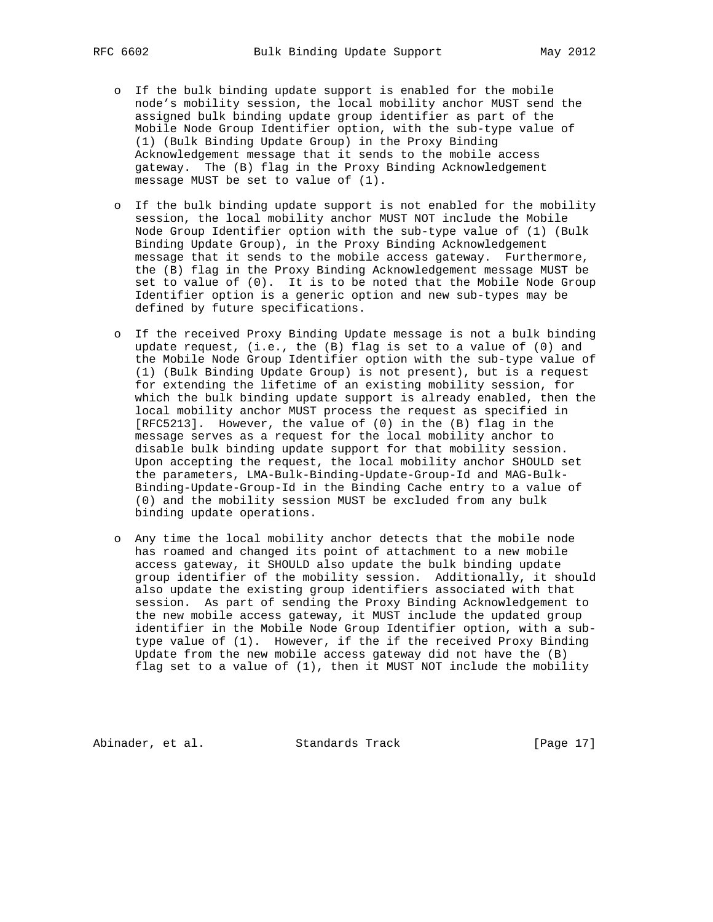- o If the bulk binding update support is enabled for the mobile node's mobility session, the local mobility anchor MUST send the assigned bulk binding update group identifier as part of the Mobile Node Group Identifier option, with the sub-type value of (1) (Bulk Binding Update Group) in the Proxy Binding Acknowledgement message that it sends to the mobile access gateway. The (B) flag in the Proxy Binding Acknowledgement message MUST be set to value of (1).
- o If the bulk binding update support is not enabled for the mobility session, the local mobility anchor MUST NOT include the Mobile Node Group Identifier option with the sub-type value of (1) (Bulk Binding Update Group), in the Proxy Binding Acknowledgement message that it sends to the mobile access gateway. Furthermore, the (B) flag in the Proxy Binding Acknowledgement message MUST be set to value of (0). It is to be noted that the Mobile Node Group Identifier option is a generic option and new sub-types may be defined by future specifications.
- o If the received Proxy Binding Update message is not a bulk binding update request, (i.e., the (B) flag is set to a value of (0) and the Mobile Node Group Identifier option with the sub-type value of (1) (Bulk Binding Update Group) is not present), but is a request for extending the lifetime of an existing mobility session, for which the bulk binding update support is already enabled, then the local mobility anchor MUST process the request as specified in [RFC5213]. However, the value of (0) in the (B) flag in the message serves as a request for the local mobility anchor to disable bulk binding update support for that mobility session. Upon accepting the request, the local mobility anchor SHOULD set the parameters, LMA-Bulk-Binding-Update-Group-Id and MAG-Bulk- Binding-Update-Group-Id in the Binding Cache entry to a value of (0) and the mobility session MUST be excluded from any bulk binding update operations.
- o Any time the local mobility anchor detects that the mobile node has roamed and changed its point of attachment to a new mobile access gateway, it SHOULD also update the bulk binding update group identifier of the mobility session. Additionally, it should also update the existing group identifiers associated with that session. As part of sending the Proxy Binding Acknowledgement to the new mobile access gateway, it MUST include the updated group identifier in the Mobile Node Group Identifier option, with a sub type value of (1). However, if the if the received Proxy Binding Update from the new mobile access gateway did not have the (B) flag set to a value of (1), then it MUST NOT include the mobility

Abinader, et al. Standards Track [Page 17]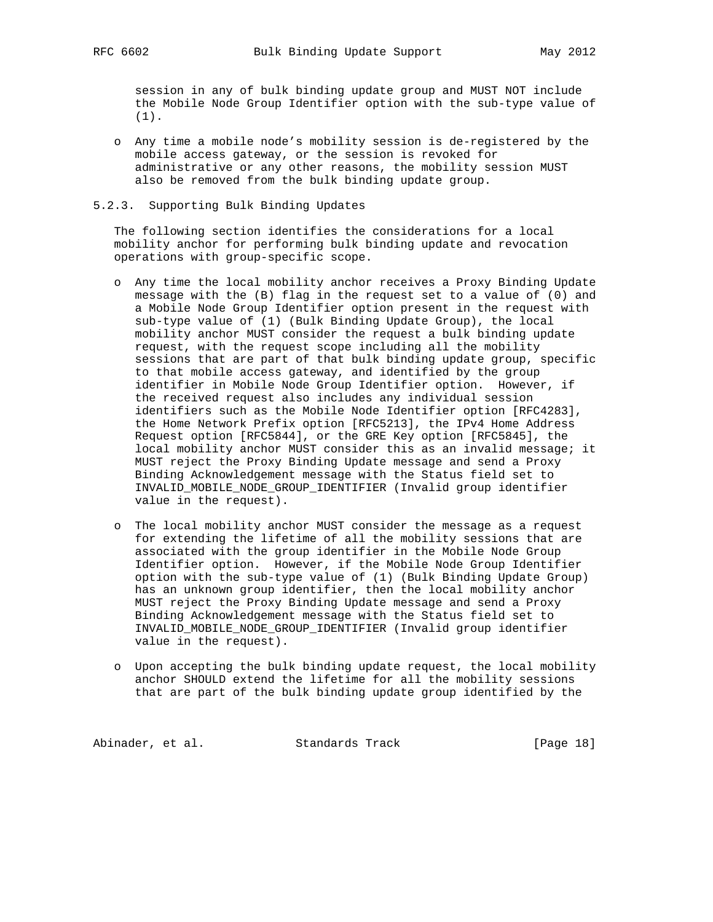session in any of bulk binding update group and MUST NOT include the Mobile Node Group Identifier option with the sub-type value of (1).

 o Any time a mobile node's mobility session is de-registered by the mobile access gateway, or the session is revoked for administrative or any other reasons, the mobility session MUST also be removed from the bulk binding update group.

## 5.2.3. Supporting Bulk Binding Updates

 The following section identifies the considerations for a local mobility anchor for performing bulk binding update and revocation operations with group-specific scope.

- o Any time the local mobility anchor receives a Proxy Binding Update message with the (B) flag in the request set to a value of (0) and a Mobile Node Group Identifier option present in the request with sub-type value of (1) (Bulk Binding Update Group), the local mobility anchor MUST consider the request a bulk binding update request, with the request scope including all the mobility sessions that are part of that bulk binding update group, specific to that mobile access gateway, and identified by the group identifier in Mobile Node Group Identifier option. However, if the received request also includes any individual session identifiers such as the Mobile Node Identifier option [RFC4283], the Home Network Prefix option [RFC5213], the IPv4 Home Address Request option [RFC5844], or the GRE Key option [RFC5845], the local mobility anchor MUST consider this as an invalid message; it MUST reject the Proxy Binding Update message and send a Proxy Binding Acknowledgement message with the Status field set to INVALID\_MOBILE\_NODE\_GROUP\_IDENTIFIER (Invalid group identifier value in the request).
- o The local mobility anchor MUST consider the message as a request for extending the lifetime of all the mobility sessions that are associated with the group identifier in the Mobile Node Group Identifier option. However, if the Mobile Node Group Identifier option with the sub-type value of (1) (Bulk Binding Update Group) has an unknown group identifier, then the local mobility anchor MUST reject the Proxy Binding Update message and send a Proxy Binding Acknowledgement message with the Status field set to INVALID\_MOBILE\_NODE\_GROUP\_IDENTIFIER (Invalid group identifier value in the request).
- o Upon accepting the bulk binding update request, the local mobility anchor SHOULD extend the lifetime for all the mobility sessions that are part of the bulk binding update group identified by the

Abinader, et al. Standards Track [Page 18]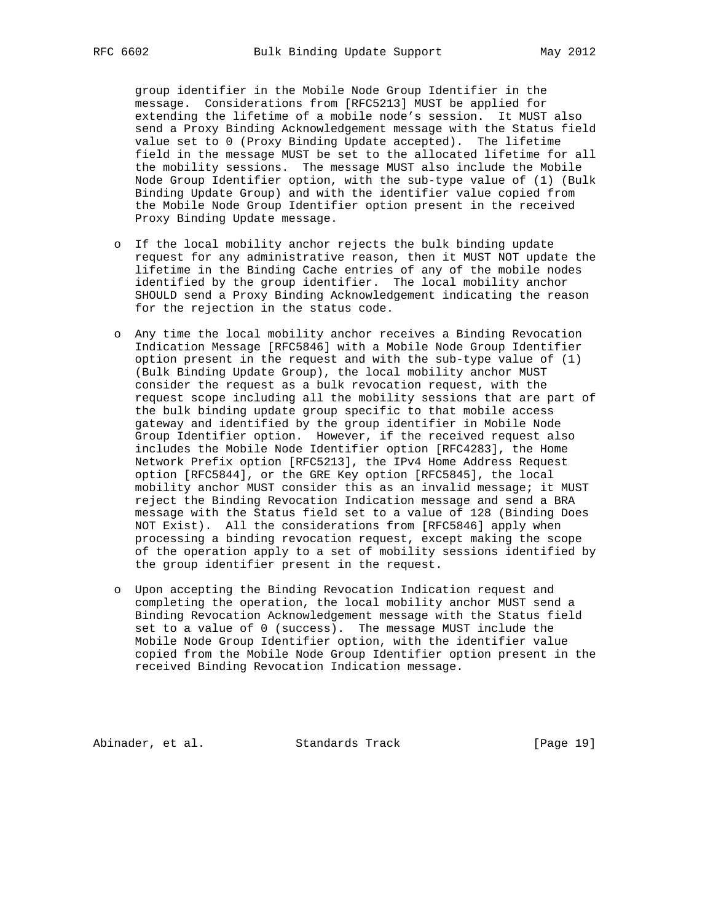group identifier in the Mobile Node Group Identifier in the message. Considerations from [RFC5213] MUST be applied for extending the lifetime of a mobile node's session. It MUST also send a Proxy Binding Acknowledgement message with the Status field value set to 0 (Proxy Binding Update accepted). The lifetime field in the message MUST be set to the allocated lifetime for all the mobility sessions. The message MUST also include the Mobile Node Group Identifier option, with the sub-type value of (1) (Bulk Binding Update Group) and with the identifier value copied from the Mobile Node Group Identifier option present in the received Proxy Binding Update message.

- o If the local mobility anchor rejects the bulk binding update request for any administrative reason, then it MUST NOT update the lifetime in the Binding Cache entries of any of the mobile nodes identified by the group identifier. The local mobility anchor SHOULD send a Proxy Binding Acknowledgement indicating the reason for the rejection in the status code.
- o Any time the local mobility anchor receives a Binding Revocation Indication Message [RFC5846] with a Mobile Node Group Identifier option present in the request and with the sub-type value of (1) (Bulk Binding Update Group), the local mobility anchor MUST consider the request as a bulk revocation request, with the request scope including all the mobility sessions that are part of the bulk binding update group specific to that mobile access gateway and identified by the group identifier in Mobile Node Group Identifier option. However, if the received request also includes the Mobile Node Identifier option [RFC4283], the Home Network Prefix option [RFC5213], the IPv4 Home Address Request option [RFC5844], or the GRE Key option [RFC5845], the local mobility anchor MUST consider this as an invalid message; it MUST reject the Binding Revocation Indication message and send a BRA message with the Status field set to a value of 128 (Binding Does NOT Exist). All the considerations from [RFC5846] apply when processing a binding revocation request, except making the scope of the operation apply to a set of mobility sessions identified by the group identifier present in the request.
- o Upon accepting the Binding Revocation Indication request and completing the operation, the local mobility anchor MUST send a Binding Revocation Acknowledgement message with the Status field set to a value of 0 (success). The message MUST include the Mobile Node Group Identifier option, with the identifier value copied from the Mobile Node Group Identifier option present in the received Binding Revocation Indication message.

Abinader, et al. Standards Track [Page 19]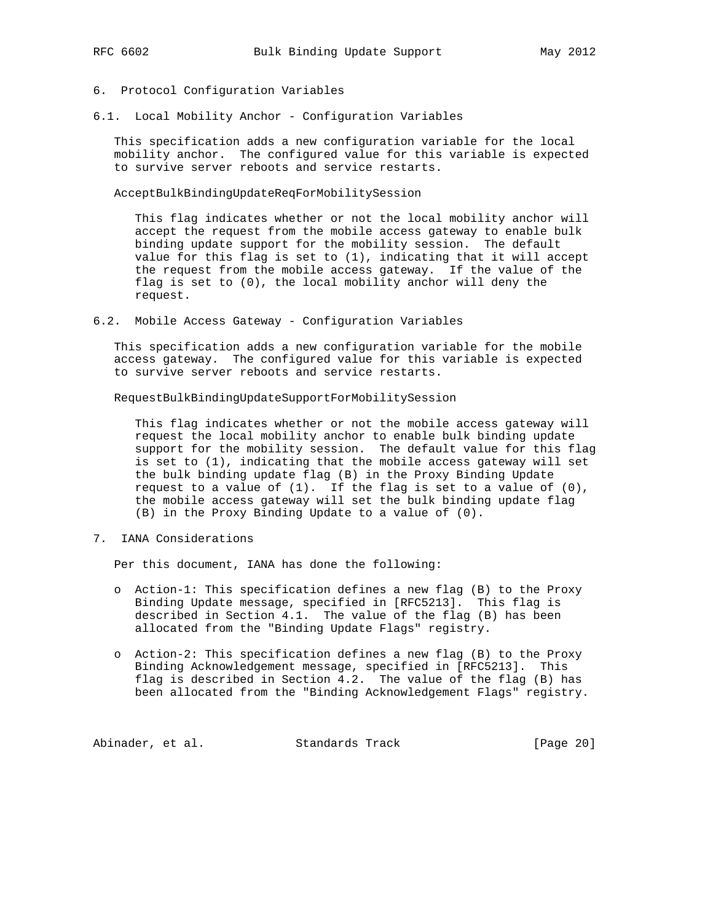## 6. Protocol Configuration Variables

6.1. Local Mobility Anchor - Configuration Variables

 This specification adds a new configuration variable for the local mobility anchor. The configured value for this variable is expected to survive server reboots and service restarts.

AcceptBulkBindingUpdateReqForMobilitySession

 This flag indicates whether or not the local mobility anchor will accept the request from the mobile access gateway to enable bulk binding update support for the mobility session. The default value for this flag is set to (1), indicating that it will accept the request from the mobile access gateway. If the value of the flag is set to (0), the local mobility anchor will deny the request.

6.2. Mobile Access Gateway - Configuration Variables

 This specification adds a new configuration variable for the mobile access gateway. The configured value for this variable is expected to survive server reboots and service restarts.

RequestBulkBindingUpdateSupportForMobilitySession

 This flag indicates whether or not the mobile access gateway will request the local mobility anchor to enable bulk binding update support for the mobility session. The default value for this flag is set to (1), indicating that the mobile access gateway will set the bulk binding update flag (B) in the Proxy Binding Update request to a value of  $(1)$ . If the flag is set to a value of  $(0)$ , the mobile access gateway will set the bulk binding update flag (B) in the Proxy Binding Update to a value of (0).

7. IANA Considerations

Per this document, IANA has done the following:

- o Action-1: This specification defines a new flag (B) to the Proxy Binding Update message, specified in [RFC5213]. This flag is described in Section 4.1. The value of the flag (B) has been allocated from the "Binding Update Flags" registry.
- o Action-2: This specification defines a new flag (B) to the Proxy Binding Acknowledgement message, specified in [RFC5213]. This flag is described in Section 4.2. The value of the flag (B) has been allocated from the "Binding Acknowledgement Flags" registry.

Abinader, et al. Standards Track [Page 20]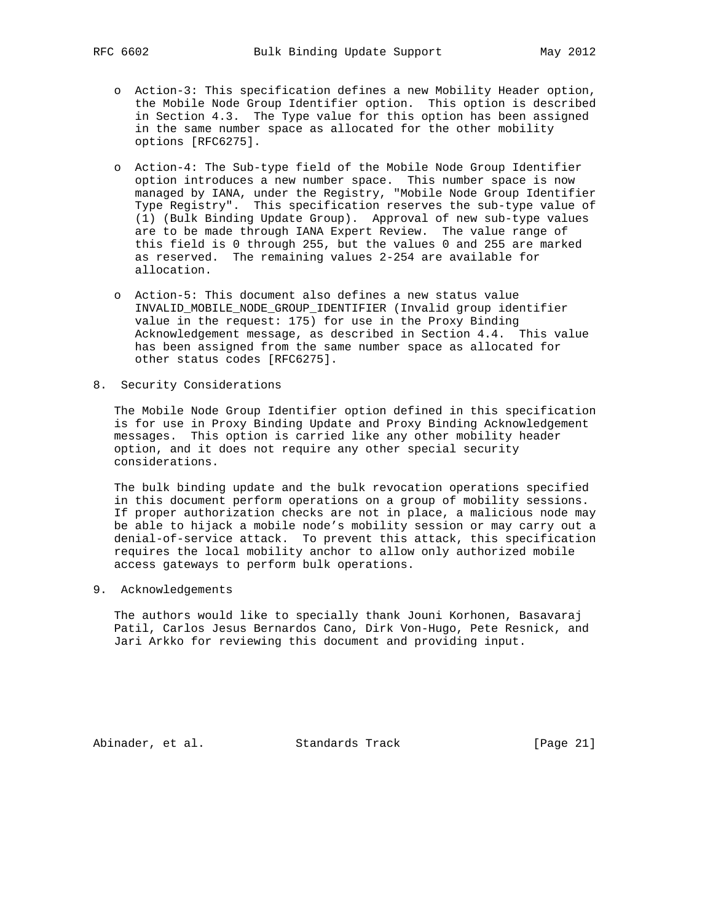- o Action-3: This specification defines a new Mobility Header option, the Mobile Node Group Identifier option. This option is described in Section 4.3. The Type value for this option has been assigned in the same number space as allocated for the other mobility options [RFC6275].
- o Action-4: The Sub-type field of the Mobile Node Group Identifier option introduces a new number space. This number space is now managed by IANA, under the Registry, "Mobile Node Group Identifier Type Registry". This specification reserves the sub-type value of (1) (Bulk Binding Update Group). Approval of new sub-type values are to be made through IANA Expert Review. The value range of this field is 0 through 255, but the values 0 and 255 are marked as reserved. The remaining values 2-254 are available for allocation.
- o Action-5: This document also defines a new status value INVALID\_MOBILE\_NODE\_GROUP\_IDENTIFIER (Invalid group identifier value in the request: 175) for use in the Proxy Binding Acknowledgement message, as described in Section 4.4. This value has been assigned from the same number space as allocated for other status codes [RFC6275].
- 8. Security Considerations

 The Mobile Node Group Identifier option defined in this specification is for use in Proxy Binding Update and Proxy Binding Acknowledgement messages. This option is carried like any other mobility header option, and it does not require any other special security considerations.

 The bulk binding update and the bulk revocation operations specified in this document perform operations on a group of mobility sessions. If proper authorization checks are not in place, a malicious node may be able to hijack a mobile node's mobility session or may carry out a denial-of-service attack. To prevent this attack, this specification requires the local mobility anchor to allow only authorized mobile access gateways to perform bulk operations.

9. Acknowledgements

 The authors would like to specially thank Jouni Korhonen, Basavaraj Patil, Carlos Jesus Bernardos Cano, Dirk Von-Hugo, Pete Resnick, and Jari Arkko for reviewing this document and providing input.

Abinader, et al. Standards Track [Page 21]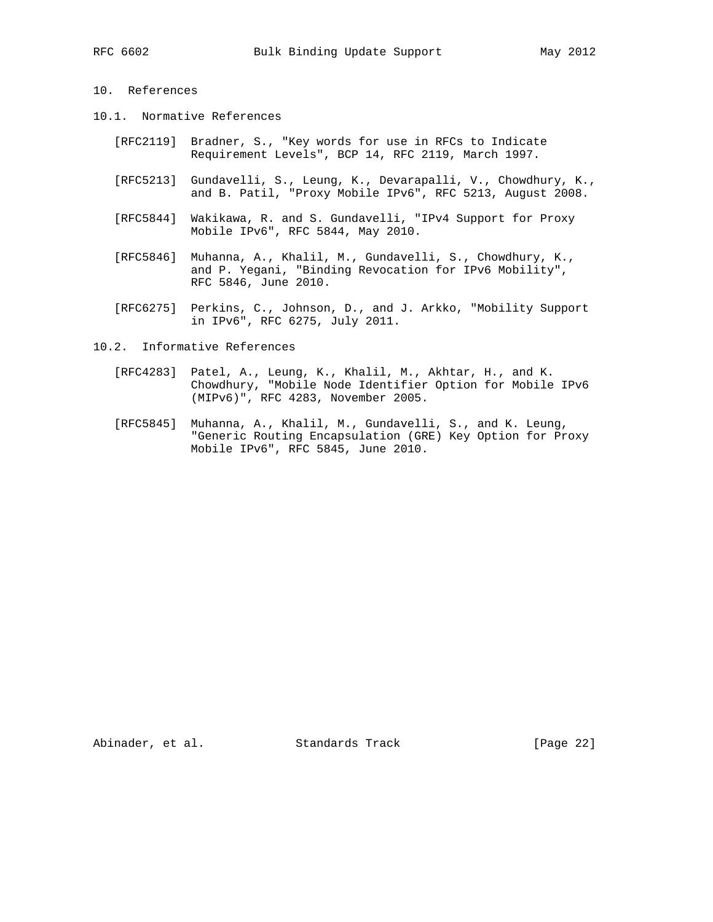# 10. References

- 10.1. Normative References
	- [RFC2119] Bradner, S., "Key words for use in RFCs to Indicate Requirement Levels", BCP 14, RFC 2119, March 1997.
	- [RFC5213] Gundavelli, S., Leung, K., Devarapalli, V., Chowdhury, K., and B. Patil, "Proxy Mobile IPv6", RFC 5213, August 2008.
	- [RFC5844] Wakikawa, R. and S. Gundavelli, "IPv4 Support for Proxy Mobile IPv6", RFC 5844, May 2010.
	- [RFC5846] Muhanna, A., Khalil, M., Gundavelli, S., Chowdhury, K., and P. Yegani, "Binding Revocation for IPv6 Mobility", RFC 5846, June 2010.
	- [RFC6275] Perkins, C., Johnson, D., and J. Arkko, "Mobility Support in IPv6", RFC 6275, July 2011.
- 10.2. Informative References
	- [RFC4283] Patel, A., Leung, K., Khalil, M., Akhtar, H., and K. Chowdhury, "Mobile Node Identifier Option for Mobile IPv6 (MIPv6)", RFC 4283, November 2005.
	- [RFC5845] Muhanna, A., Khalil, M., Gundavelli, S., and K. Leung, "Generic Routing Encapsulation (GRE) Key Option for Proxy Mobile IPv6", RFC 5845, June 2010.

Abinader, et al. Standards Track [Page 22]